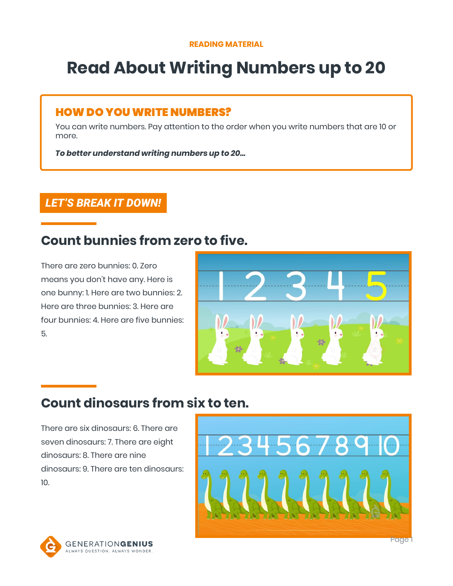#### **READING MATERIAL**

# **Read About Writing Numbers up to 20**

### HOW DO YOU WRITE NUMBERS?

You can write numbers. Pay attention to the order when you write numbers that are 10 or more.

*To better understand writing numbers up to 20…*

### *LET'S BREAK IT DOWN!*

# **Count bunnies from zero to five.**

There are zero bunnies: 0. Zero means you don't have any. Here is one bunny: 1. Here are two bunnies: 2. Here are three bunnies: 3. Here are four bunnies: 4. Here are five bunnies: 5.



# **Count dinosaurs from six to ten.**

There are six dinosaurs: 6. There are seven dinosaurs: 7. There are eight dinosaurs: 8. There are nine dinosaurs: 9. There are ten dinosaurs: 10.



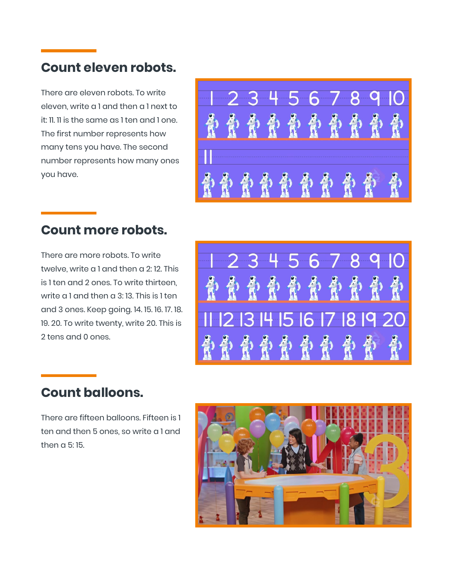## **Count eleven robots.**

There are eleven robots. To write eleven, write a 1 and then a 1 next to it: 11. 11 is the same as 1 ten and 1 one. The first number represents how many tens you have. The second number represents how many ones you have.



# **Count more robots.**

There are more robots. To write twelve, write a 1 and then a 2: 12. This is 1 ten and 2 ones. To write thirteen, write a 1 and then a 3: 13. This is 1 ten and 3 ones. Keep going. 14. 15. 16. 17. 18. 19. 20. To write twenty, write 20. This is 2 tens and 0 ones.



# **Count balloons.**

There are fifteen balloons. Fifteen is 1 ten and then 5 ones, so write a 1 and then a 5: 15.